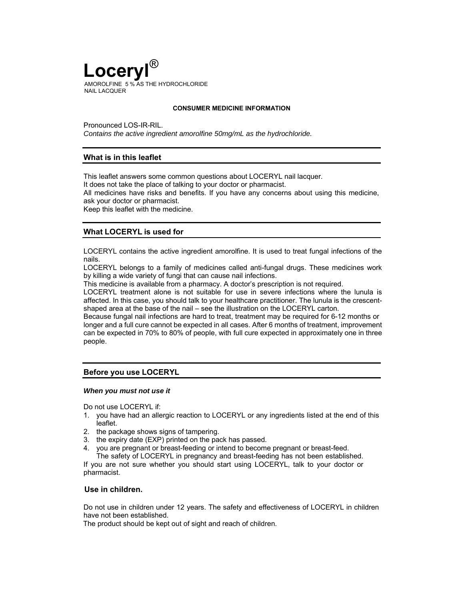

#### **CONSUMER MEDICINE INFORMATION**

Pronounced LOS-IR-RIL. *Contains the active ingredient amorolfine 50mg/mL as the hydrochloride.*

## **What is in this leaflet**

This leaflet answers some common questions about LOCERYL nail lacquer.

It does not take the place of talking to your doctor or pharmacist.

All medicines have risks and benefits. If you have any concerns about using this medicine, ask your doctor or pharmacist.

Keep this leaflet with the medicine.

# **What LOCERYL is used for**

LOCERYL contains the active ingredient amorolfine. It is used to treat fungal infections of the nails.

LOCERYL belongs to a family of medicines called anti-fungal drugs. These medicines work by killing a wide variety of fungi that can cause nail infections.

This medicine is available from a pharmacy. A doctor's prescription is not required.

LOCERYL treatment alone is not suitable for use in severe infections where the lunula is affected. In this case, you should talk to your healthcare practitioner. The lunula is the crescentshaped area at the base of the nail – see the illustration on the LOCERYL carton.

Because fungal nail infections are hard to treat, treatment may be required for 6-12 months or longer and a full cure cannot be expected in all cases. After 6 months of treatment, improvement can be expected in 70% to 80% of people, with full cure expected in approximately one in three people.

## **Before you use LOCERYL**

#### *When you must not use it*

Do not use LOCERYL if:

- 1. you have had an allergic reaction to LOCERYL or any ingredients listed at the end of this leaflet.
- 2. the package shows signs of tampering.
- 3. the expiry date (EXP) printed on the pack has passed.
- 4. you are pregnant or breast-feeding or intend to become pregnant or breast-feed.

The safety of LOCERYL in pregnancy and breast-feeding has not been established. If you are not sure whether you should start using LOCERYL, talk to your doctor or pharmacist.

## **Use in children.**

Do not use in children under 12 years. The safety and effectiveness of LOCERYL in children have not been established.

The product should be kept out of sight and reach of children.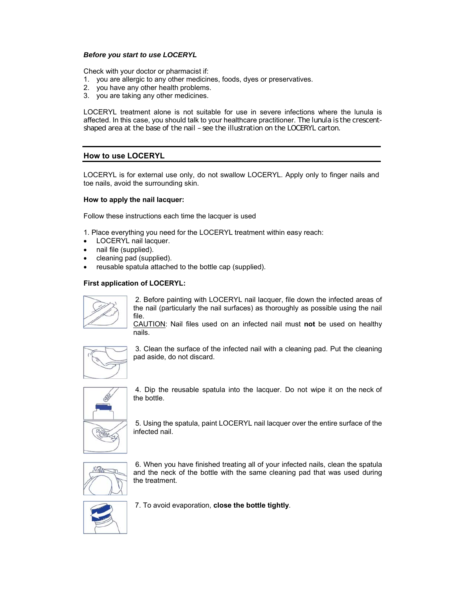## *Before you start to use LOCERYL*

Check with your doctor or pharmacist if:

- 1. you are allergic to any other medicines, foods, dyes or preservatives.
- 2. you have any other health problems.
- 3. you are taking any other medicines.

LOCERYL treatment alone is not suitable for use in severe infections where the lunula is affected. In this case, you should talk to your healthcare practitioner. The lunula is the crescentshaped area at the base of the nail – see the illustration on the LOCERYL carton.

# **How to use LOCERYL**

LOCERYL is for external use only, do not swallow LOCERYL. Apply only to finger nails and toe nails, avoid the surrounding skin.

### **How to apply the nail lacquer:**

Follow these instructions each time the lacquer is used

1. Place everything you need for the LOCERYL treatment within easy reach:

- LOCERYL nail lacquer.
- nail file (supplied).
- cleaning pad (supplied).
- reusable spatula attached to the bottle cap (supplied).

# **First application of LOCERYL:**



2. Before painting with LOCERYL nail lacquer, file down the infected areas of the nail (particularly the nail surfaces) as thoroughly as possible using the nail file.

CAUTION: Nail files used on an infected nail must **not** be used on healthy nails.



3. Clean the surface of the infected nail with a cleaning pad. Put the cleaning pad aside, do not discard.



4. Dip the reusable spatula into the lacquer. Do not wipe it on the neck of the bottle.

5. Using the spatula, paint LOCERYL nail lacquer over the entire surface of the infected nail.



6. When you have finished treating all of your infected nails, clean the spatula and the neck of the bottle with the same cleaning pad that was used during the treatment.



7. To avoid evaporation, **close the bottle tightly**.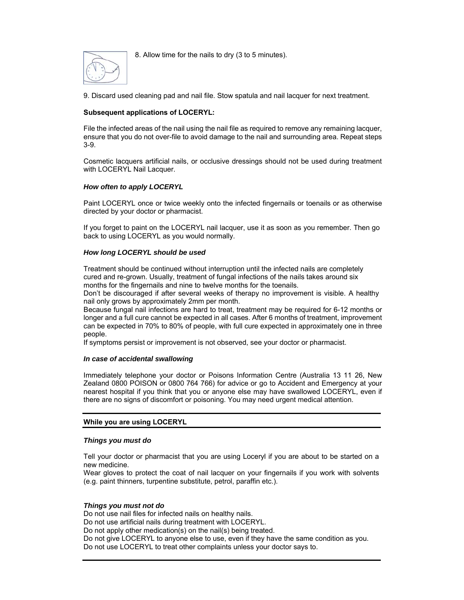8. Allow time for the nails to dry (3 to 5 minutes).



9. Discard used cleaning pad and nail file. Stow spatula and nail lacquer for next treatment.

# **Subsequent applications of LOCERYL:**

File the infected areas of the nail using the nail file as required to remove any remaining lacquer, ensure that you do not over-file to avoid damage to the nail and surrounding area. Repeat steps 3-9.

Cosmetic lacquers artificial nails, or occlusive dressings should not be used during treatment with LOCERYL Nail Lacquer.

# *How often to apply LOCERYL*

Paint LOCERYL once or twice weekly onto the infected fingernails or toenails or as otherwise directed by your doctor or pharmacist.

If you forget to paint on the LOCERYL nail lacquer, use it as soon as you remember. Then go back to using LOCERYL as you would normally.

# *How long LOCERYL should be used*

Treatment should be continued without interruption until the infected nails are completely cured and re-grown. Usually, treatment of fungal infections of the nails takes around six months for the fingernails and nine to twelve months for the toenails.

Don't be discouraged if after several weeks of therapy no improvement is visible. A healthy nail only grows by approximately 2mm per month.

Because fungal nail infections are hard to treat, treatment may be required for 6-12 months or longer and a full cure cannot be expected in all cases. After 6 months of treatment, improvement can be expected in 70% to 80% of people, with full cure expected in approximately one in three people.

If symptoms persist or improvement is not observed, see your doctor or pharmacist.

## *In case of accidental swallowing*

Immediately telephone your doctor or Poisons Information Centre (Australia 13 11 26, New Zealand 0800 POISON or 0800 764 766) for advice or go to Accident and Emergency at your nearest hospital if you think that you or anyone else may have swallowed LOCERYL, even if there are no signs of discomfort or poisoning. You may need urgent medical attention.

## **While you are using LOCERYL**

## *Things you must do*

Tell your doctor or pharmacist that you are using Loceryl if you are about to be started on a new medicine.

Wear gloves to protect the coat of nail lacquer on your fingernails if you work with solvents (e.g. paint thinners, turpentine substitute, petrol, paraffin etc.).

## *Things you must not do*

Do not use nail files for infected nails on healthy nails. Do not use artificial nails during treatment with LOCERYL. Do not apply other medication(s) on the nail(s) being treated. Do not give LOCERYL to anyone else to use, even if they have the same condition as you. Do not use LOCERYL to treat other complaints unless your doctor says to.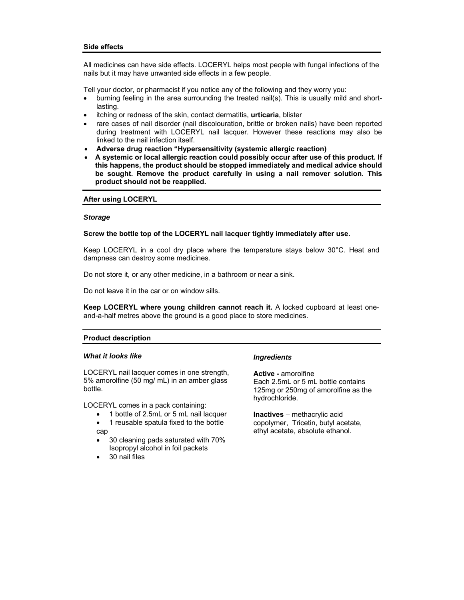#### **Side effects**

All medicines can have side effects. LOCERYL helps most people with fungal infections of the nails but it may have unwanted side effects in a few people.

Tell your doctor, or pharmacist if you notice any of the following and they worry you:

- burning feeling in the area surrounding the treated nail(s). This is usually mild and shortlasting.
- itching or redness of the skin, contact dermatitis, **urticaria**, blister
- rare cases of nail disorder (nail discolouration, brittle or broken nails) have been reported during treatment with LOCERYL nail lacquer. However these reactions may also be linked to the nail infection itself.
- **Adverse drug reaction "Hypersensitivity (systemic allergic reaction)**
- **A systemic or local allergic reaction could possibly occur after use of this product. If this happens, the product should be stopped immediately and medical advice should be sought. Remove the product carefully in using a nail remover solution. This product should not be reapplied.**

#### **After using LOCERYL**

#### *Storage*

### **Screw the bottle top of the LOCERYL nail lacquer tightly immediately after use.**

Keep LOCERYL in a cool dry place where the temperature stays below 30°C. Heat and dampness can destroy some medicines.

Do not store it, or any other medicine, in a bathroom or near a sink.

Do not leave it in the car or on window sills.

**Keep LOCERYL where young children cannot reach it.** A locked cupboard at least oneand-a-half metres above the ground is a good place to store medicines.

#### **Product description**

#### *What it looks like*

LOCERYL nail lacquer comes in one strength, 5% amorolfine (50 mg/ mL) in an amber glass bottle.

LOCERYL comes in a pack containing:

- 1 bottle of 2.5mL or 5 mL nail lacquer
- 1 reusable spatula fixed to the bottle cap
- 30 cleaning pads saturated with 70% Isopropyl alcohol in foil packets
- 30 nail files

#### *Ingredients*

**Active -** amorolfine Each 2.5mL or 5 mL bottle contains 125mg or 250mg of amorolfine as the hydrochloride.

**Inactives** – methacrylic acid copolymer, Tricetin, butyl acetate, ethyl acetate, absolute ethanol.